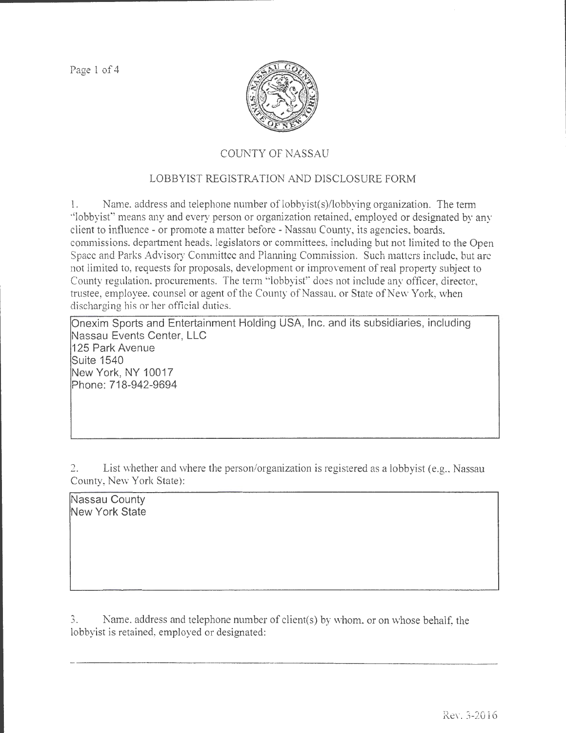Page 1 of 4



# COUNTY OF NASSAU

# LOBBYIST REGISTRATION AND DISCLOSURE FORM

1. Name. address and telephone number of lobbyist(s)/lobbying organization. The term ·'lobbyisf' means any and every person or organization retained, employed or designated by any client to influence- or promote a matter before- Nassau County, its agencies, boards, commissions. department heads, legislators or committees, including but not limited to the Open Space and Parks Advisory Committee and Planning Commission. Such matters include, but are not limited to, requests for proposals, development or improvement of real property subject to County regulation, procurements. The tenn "lobbyist" does not include any officer, director, trustee, employee, counsel or agent of the County of Nassau, or State of New York, when discharging his or her official duties.

Onexim Sports and Entertainment Holding USA, Inc. and its subsidiaries, including Nassau Events Center, LLC 125 Park Avenue Suite 1540 New York, NY 10017 Phone: 718-942-9694

2. List whether and where the person/organization is registered as a lobbyist (e.g., Nassau County, New York State):

Nassau County New York State

3. Name. address and telephone number of client(s) by whom. or on whose behalf. the lobbyist is retained, employed or designated: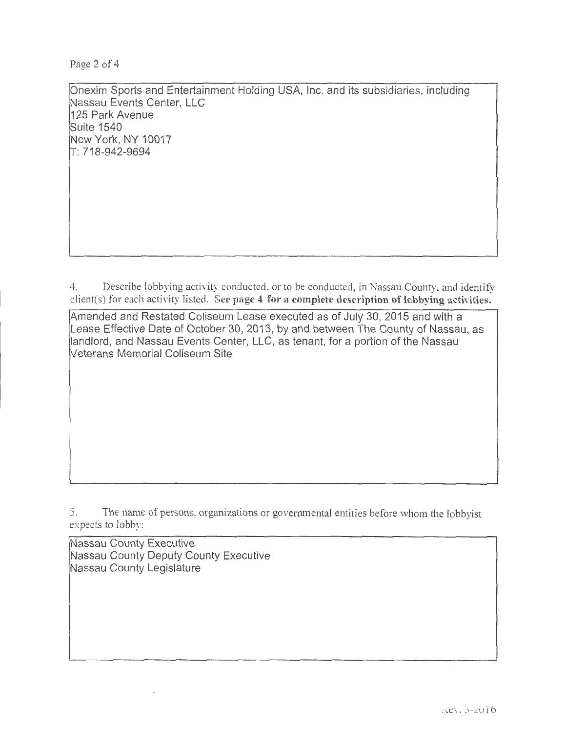Page 2 of 4

Onexim Sports and Entertainment Holding USA, Inc. and its subsidiaries, including Nassau Events Center, LLC 125 Park Avenue Suite 1540 New York, NY 10017 T: 718-942-9694

4. Describe lobbying activity conducted. or to be conducted, in Nassau County. and identify client(s) for each activity listed. See page 4 for a complete description of lobbying activities.

mended and Restated Coliseum Lease executed as of July 30, 2015 and with a Lease Effective Date of October 30, 2013, by and between The County of Nassau, as landlord, and Nassau Events Center, LLC, as tenant, for a portion of the Nassau !Veterans Memorial Coliseum Site

5. The name of persons, organizations or governmental entities before whom the lobbyist expects to lobby:

Nassau County Executive Nassau County Deputy County Executive Nassau County Legislature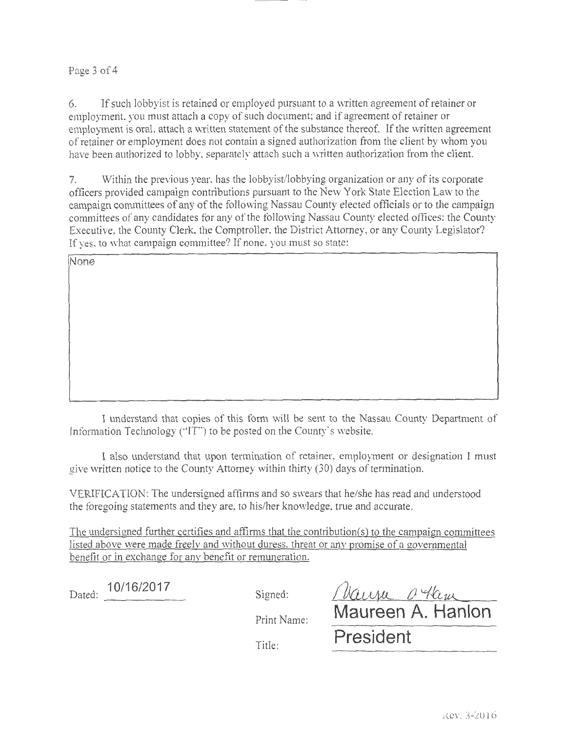## Page 3 of 4

6. If such lobbyist is retained or employed pursuant to a written agreement of retainer or employment. you must attach a copy of such document; and if agreement of retainer or employment is oral, attach a written statement of the substance thereof. If the written agreement of retainer or employment does not contain a signed authorization from the client by whom you have been authorized to lobby, separately attach such a written authorization from the client.

7. Within the previous year, has the lobbyist/lobbying organization or any of its corporate officers provided campaign contributions pursuant to the New York State Election Law to the campaign committees of any of the following Nassau County elected officials or to the campaign committees of any candidates tor any of the tollowing Nassau County elected oftices: the County Executive, the County Clerk, the Comptroller, the District Attorney, or any County Legislator? If yes, to what campaign committee? If none, you must so state:

**None** 

I understand that copies of this form will be sent to the Nassau County Department of Information Technology ("IT") to be posted on the County's website.

I also tmderstand that upon tennination of retainer, employment or designation I must give written notice to the County Attorney within thirty (30) days of termination.

VERIFICATION: The undersigned affirms and so swears that he/she has read and understood the foregoing statements and they are, to his/her knowledge, true and accurate.

The undersigned further certifies and affirms that the contribution(s) to the campaign committees listed above were made freely and without duress. threat or any promise of a governmental benefit or in exchange for any benefit or remuneration.

Dated: <sup>10/16/2017</sup> Signed:

Print Name:

Title:

| Maura Ocham       |
|-------------------|
| Maureen A. Hanlon |
| President         |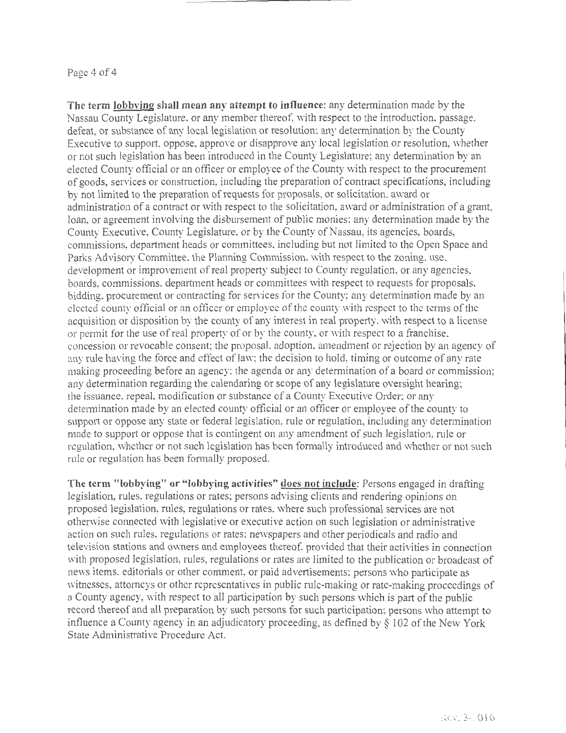#### Page 4 of 4

**The term lobbving shall mean any attempt to influence:** any determination made by the Nassau County Legislature, or any member thereof, with respect to the introduction, passage, defeat, or substance of any local legislation or resolution; any determination by the County Executive to support, oppose, approve or disapprove any local legislation or resolution, whether or not such legislation has been introduced in the County Legislature; any determination by an elected County official or an officer or employee of the County with respect to the procurement of goods, services or construction, including the preparation of contract specifications, including by not limited to the preparation of requests for proposals, or solicitation, award or administration of a contract or with respect to the solicitation, award or administration of a grant. loan, or agreement involving the disbursement of public monies: any determination made by the County Executive, County Legislature, or by the County of Nassau, its agencies, boards, commissions, department heads or committees, including but not limited to the Open Space and Parks Advisory Committee. the Planning Commission. with respect to the zoning, use, development or improvement of real property subject to County regulation, or any agencies, boards, commissions, department heads or committees with respect to requests for proposals, bidding. procurement or contracting for services for the County; any determination made by an elected county official or an officer or employee of the county with respect to the terms of the acquisition or disposition by the county of any interest in real property, with respect to a license or permit for the use of real property of or by the county, or with respect to a franchise, concession or revocable consent; the proposal, adoption, amendment or rejection by an agency of any rule having the force and effect of law; the decision to hold, timing or outcome of any rate making proceeding before an agency; the agenda or any determination of a board or commission; any determination regarding the calendaring or scope of any legislature oversight hearing; the issuance, repeal. modification or substance of a County Executive Order; or any determination made by an elected county official or an officer or employee of the county to support or oppose any state or federal legislation, rule or regulation, including any determination made to support or oppose that is contingent on any amendment of such legislation, rule or regulation, whether or not such legislation has been formally introduced and whether or not such rule or regulation has been formally proposed.

**The term "lobbying" or "lobbying activities" docs not include:** Persons engaged in drafting legislation, rules, regulations or rates; persons advising clients and rendering opinions on proposed legislation, rules, regulations or rates, where such professional services are not otherwise connected with legislative or executive action on such legislation or administrative action on such rules. regulations or rates; newspapers and other periodicals and radio and television stations and owners and employees thereof, provided that their activities in connection with proposed legislation, rules, regulations or rates are limited to the publication or broadcast of news items, editorials or other comment, or paid advertisements; persons who participate as witnesses, attorneys or other representatives in public rule-making or rate-making proceedings of a County agency, with respect to all participation by such persons which is part of the public record thereof and all preparation by such persons for such participation; persons who attempt to influence a County agency in an adjudicatory proceeding, as defined by  $\S$  102 of the New York State Administrative Procedure Act.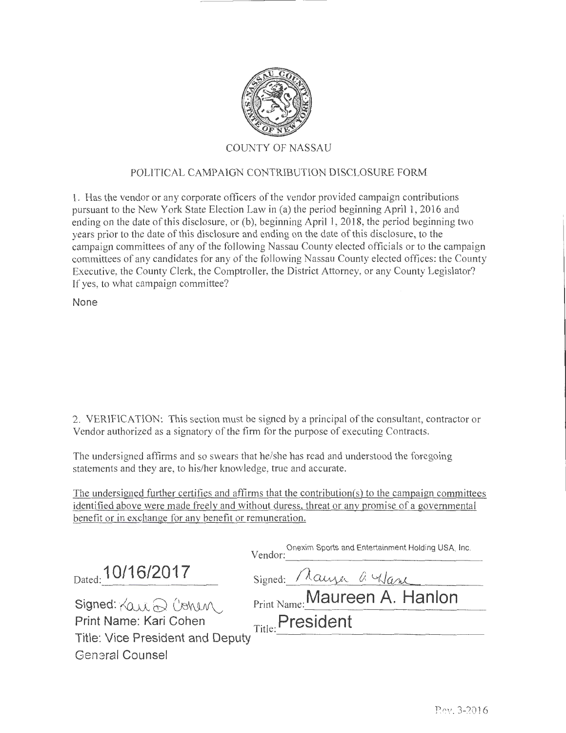

## POLITICAL CAMPAIGN CONTRIBUTION DISCLOSURE FORM

1. Has the vendor or any corporate officers of the vendor provided campaign contributions pursuant to the New York State Election Law in (a) the period beginning April 1, 2016 and ending on the date of this disclosure, or (b), beginning April 1, 2018, the period beginning two years prior to the date of this disclosure and ending on the date of this disclosure, to the campaign committees of any of the following Nassau County elected officials or to the campaign committees of any candidates for any of the following Nassau County elected offices: the County Executive, the County Clerk, the Comptroller, the District Attorney, or any County Legislator? If yes, to what campaign committee?

None

2. VERIFICATION: This section must be signed by a principal of the consultant, contractor or Vendor authorized as a signatory of the firm for the purpose of executing Contracts.

The undersigned affirms and so swears that he/she has read and understood the foregoing statements and they are, to his/her knowledge, true and accurate.

The undersigned further certifies and affirms that the contribution(s) to the campaign committees identified above were made freely and without duress, threat or any promise of a governmental benefit or in exchange for any benefit or remuneration.

|                                    | Onexim Sports and Entertainment Holding USA, Inc.<br>Vendor: |
|------------------------------------|--------------------------------------------------------------|
| Dated: 10/16/2017                  | Signed: Mauzer a Wane                                        |
| Signed: $\forall$ au $\odot$ Conen | Print Name: Maureen A. Hanlon                                |
| Print Name: Kari Cohen             | Title: President                                             |
| Title: Vice President and Deputy   |                                                              |
| General Counsel                    |                                                              |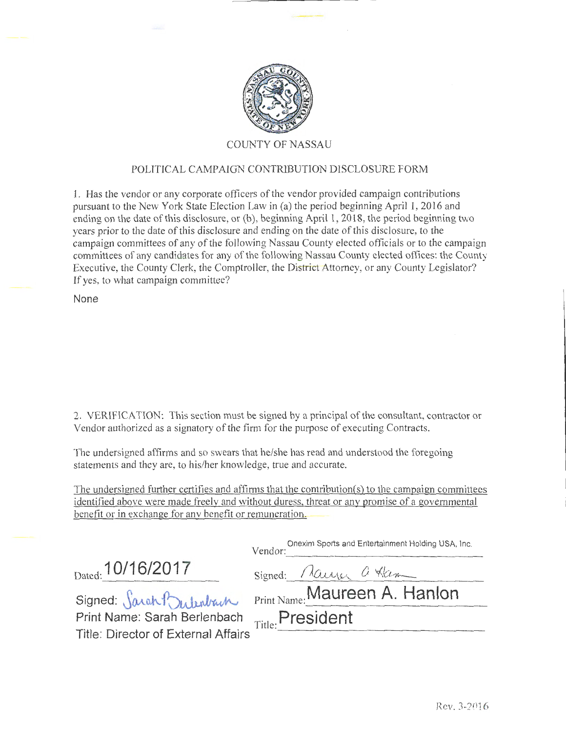

## POLITICAL CAMPAIGN CONTRJBUTION DISCLOSURE FORM

1. Has the vendor or any corporate officers of the vendor provided campaign contributions pursuant to the New York State Election Law in (a) the period beginning April 1, 2016 and ending on the date of this disclosure, or (b), beginning April **1,** 2018, the period beginning two years prior to the date of this disclosure and ending on the date of this disclosure, to the campaign committees of any of the following Nassau County elected officials or to the campaign committees of any candidates for any of the following Nassau County elected offices: the County Executive, the County Clerk, the Comptroller, the District Attorney, or any County Legislator? If yes, to what campaign committee?

**None** 

2. VERIFICATION: This section must be signed by a principal ofthe consultant, contractor or Vendor authorized as a signatory of the firm for the purpose of executing Contracts.

The undersigned affirms and so swears that he/she has read and understood the foregoing statements and they are, to his/her knowledge, true and accurate.

The undersigned further certifies and affirms that the contribution(s) to the campaign committees identified above were made freely and without duress, threat or any promise of a governmental benefit or in exchange for any benefit or remuneration.

|                                               | Onexim Sports and Entertainment Holding USA, Inc.<br>Vendor: |  |  |
|-----------------------------------------------|--------------------------------------------------------------|--|--|
| Dated: 10/16/2017                             | Signed: Mairy a Ham                                          |  |  |
| Signed: Sarah Bulenbach                       | Print Name: Maureen A. Hanlon                                |  |  |
| Print Name: Sarah Berlenbach Title: President |                                                              |  |  |
| Title: Director of External Affairs           |                                                              |  |  |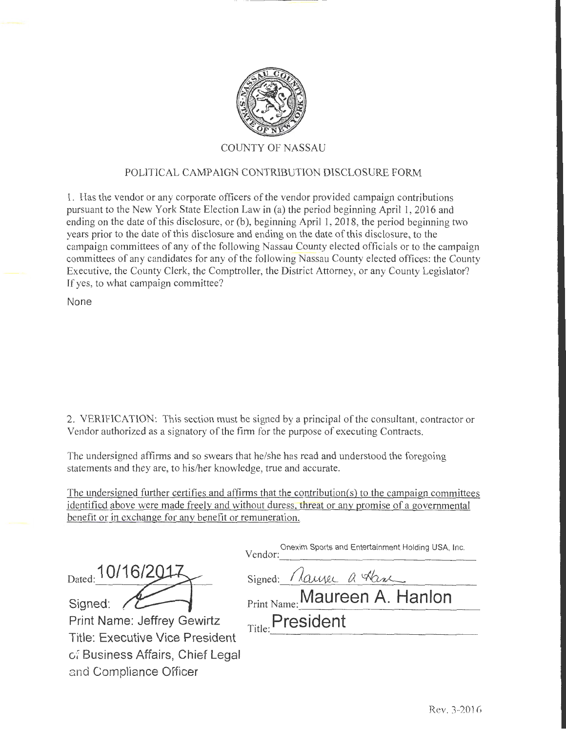

### POLITICAL CAMPAIGN CONTRIBUTION DISCLOSURE FORM

1. Has the vendor or any corporate officers of the vendor provided campaign contributions pursuant to the New York State Election Law in (a) the period beginning April 1, 2016 and ending on the date of this disclosure, or  $(b)$ , beginning April 1, 2018, the period beginning two years prior to the date of this disclosure and ending on the date of this disclosure, to the campaign committees of any of the following Nassau County elected officials or to the campaign committees of any candidates for any of the following Nassau County elected offices: the County Executive, the County Clerk, the Comptroller, the District Attorney, or any County Legislator? If yes, to what campaign committee?

None

and Compliance Officer

2. VERIFICATION: This section must be signed by a principal of the consultant, contractor or Vendor authorized as a signatory of the firm for the purpose of executing Contracts.

The undersigned affirms and so swears that he/she has read and understood the foregoing statements and they are, to his/her knowledge, true and accurate.

The undersigned further certifies and affirms that the contribution(s) to the campaign committees identified above were made freely and without duress, threat or any promise of a governmental benefit or in exchange for any benefit or remuneration.

|                                        | Onexim Sports and Entertainment Holding USA, Inc.<br>Vendor: |
|----------------------------------------|--------------------------------------------------------------|
| Dated: 10/16/2014                      | Signed: Mause a Have                                         |
| Signed:                                | Print Name: Maureen A. Hanlon                                |
| Print Name: Jeffrey Gewirtz            | Title: President                                             |
| <b>Title: Executive Vice President</b> |                                                              |
| of Business Affairs, Chief Legal       |                                                              |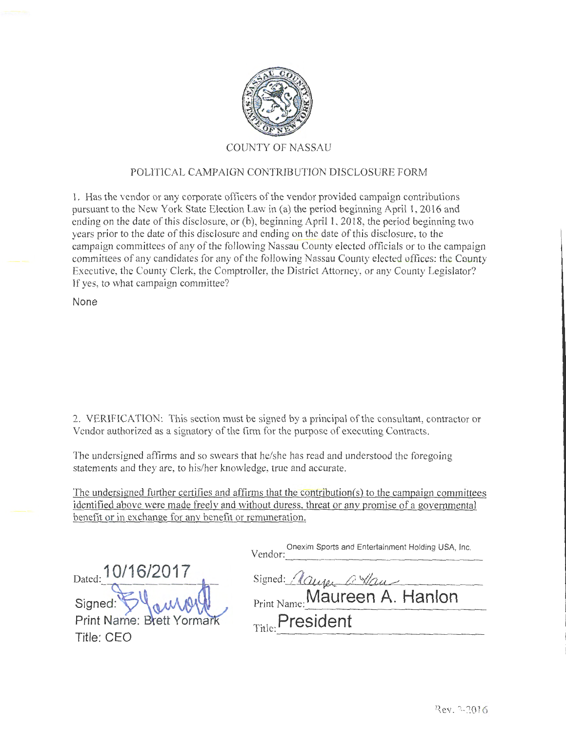

### POLITICAL CAMPAIGN CONTRIBUTION DISCLOSURE FORM

1. Has the vendor or any corporate officers of the vendor provided campaign contributions pursuant to the New York State Election Law in (a) the period beginning April **1,** 2016 and ending on the date of this disclosure, or (b), beginning April **1,** 2018, the period beginning two years prior to the date of this disclosure and ending on the date of this disclosure, to the campaign committees of any of the following Nassau County elected officials or to the campaign committees of any candidates for any of the following Nassau County elected offices: the County Executive, the County Clerk, the Comptroller, the District Attorney, or any County Legislator? If yes, to what campaign committee?

**None** 

2. VERIFICATION: This section must be signed by a principal of the consultant, contractor or Vendor authorized as a signatory of the firm for the purpose of executing Contracts.

The undersigned affirms and so swears that he/she has read and understood the foregoing statements and they are, to his/her knowledge, true and accurate.

The undersigned further certifies and affirms that the contribution(s) to the campaign committees identified above were made freely and without duress, threat or any promise of a governmental benefit or in exchange for any benefit or remuneration.

|                              | Onexim Sports and Entertainment Holding USA, Inc.<br>Vendor: |
|------------------------------|--------------------------------------------------------------|
| Dated: 10/16/2017            | Signed: Maurer a Van                                         |
|                              | Print Name: Maureen A. Hanlon                                |
| Signed: Summer Brett Yormark | Title: President                                             |
| Title: CEO                   |                                                              |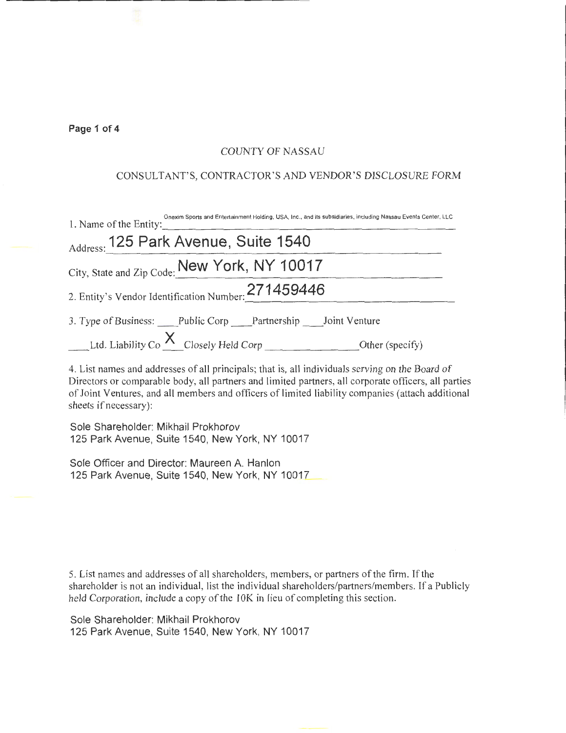#### **Page 1 of 4**

### COUNTY OF NASSAU

### CONSULTANT'S, CONTRACTOR'S AND VENDOR'S DISCLOSURE FORM

| Onexim Sports and Entertainment Holding, USA, Inc., and its subsidiaries, including Nassau Events Center, LLC<br>1. Name of the Entity: |
|-----------------------------------------------------------------------------------------------------------------------------------------|
| Address: 125 Park Avenue, Suite 1540                                                                                                    |
| City, State and Zip Code: New York, NY 10017                                                                                            |
| 2. Entity's Vendor Identification Number: 271459446                                                                                     |
| 3. Type of Business: Public Corp Partnership Joint Venture                                                                              |
|                                                                                                                                         |
| 1. I ist names and addresses of all principals that is all individuals serving on the Doord of                                          |

4. List names and addresses of all principals; that is, all individuals serving on the Board of Directors or comparable body, all partners and limited partners, all corporate officers, all parties of Joint Ventures, and all members and officers of limited liability companies (attach additional sheets if necessary):

Sole Shareholder: Mikhail Prokhorov 125 Park Avenue, Suite 1540, New York, NY 10017

Sole Officer and Director: Maureen A. Hanlon 125 Park Avenue, Suite 1540, New York, NY 10017

5. List names and addresses of all shareholders, members, or partners of the firm. If the shareholder is not an individual, list the individual shareholders/partners/members. If a Publicly held Corporation, include a copy of the 10K in lieu of completing this section.

Sole Shareholder: Mikhail Prokhorov 125 Park Avenue, Suite 1540, New York, NY 10017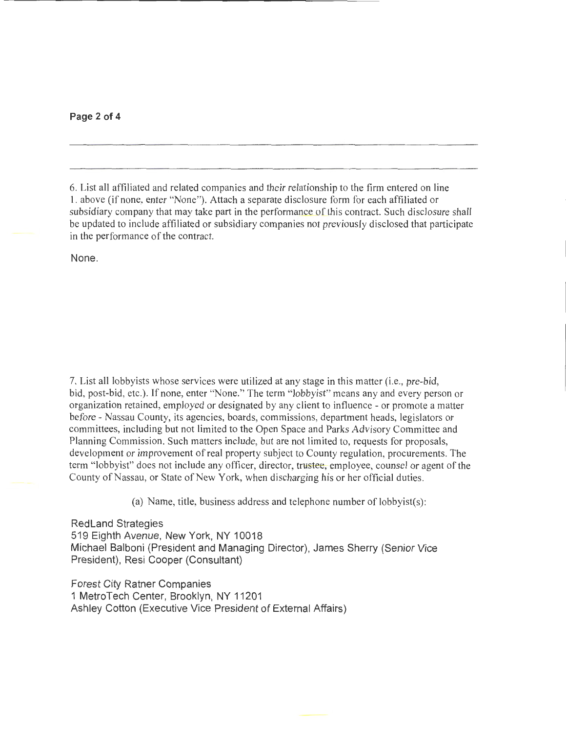**Page 2 of 4** 

6. List all affiliated and related companies and their relationship to the firm entered on line 1. above (if none, enter "None"). Attach a separate disclosure form for each affiliated or subsidiary company that may take part in the performance of this contract. Such disclosure shall be updated to include affiliated or subsidiary companies not previously disclosed that participate in the performance of the contract.

None.

7. List all lobbyists whose services were utilized at any stage in this matter (i.e., pre-bid, bid, post-bid, etc.). If none, enter "None." The term "lobbyist" means any and every person or organization retained, employed or designated by any client to influence -or promote a matter before- Nassau County, its agencies, boards, commissions, department heads, legislators or committees, including but not limited to the Open Space and Parks Advisory Committee and Planning Commission. Such matters include, but are not limited to, requests for proposals, development or improvement of real property subject to County regulation, procurements. The term "lobbyist" does not include any officer, director, trustee, employee, counsel or agent of the County of Nassau, or State of New York, when discharging his or her official duties.

(a) Name, title, business address and telephone number of lobbyist(s):

Redland Strategies 519 Eighth Avenue, New York, NY 10018 Michael Balboni (President and Managing Director), James Sherry (Senior Vice President), Resi Cooper (Consultant)

Forest City Ratner Companies 1 MetroTech Center, Brooklyn, NY 11201 Ashley Cotton (Executive Vice President of External Affairs)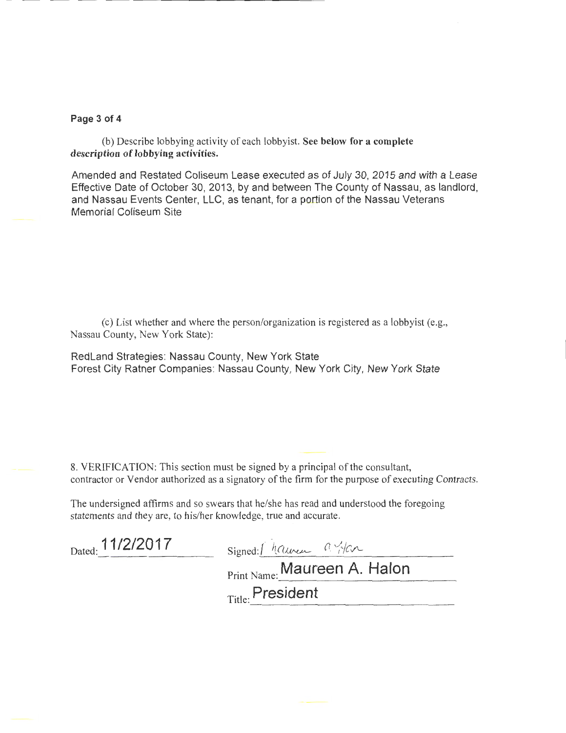#### Page 3 of 4

(b) Describe lobbying activity of each lobbyist. See below for a complete description of lobbying activities.

Amended and Restated Coliseum Lease executed as of July 30, 2015 and with a Lease Effective Date of October 30, 2013, by and between The County of Nassau, as landlord, and Nassau Events Center, LLC, as tenant, for a portion of the Nassau Veterans Memorial Coliseum Site

(c) List whether and where the person/organization is registered as a lobbyist (e.g., Nassau County, New York State):

RedLand Strategies: Nassau County, New York State Forest City Ratner Companies: Nassau County, New York City, New York State

8. VERIFICATION: This section must be signed by a principal of the consultant, contractor or Vendor authorized as a signatory of the firm for the purpose of executing Contracts.

The undersigned affirms and so swears that he/she has read and understood the foregoing statements and they are, to his/her knowledge, true and accurate.

| Dated: 11/2/2017 | Signed:/ haunen a yen        |
|------------------|------------------------------|
|                  | Print Name: Maureen A. Halon |
|                  | $_{\rm Title}$ President     |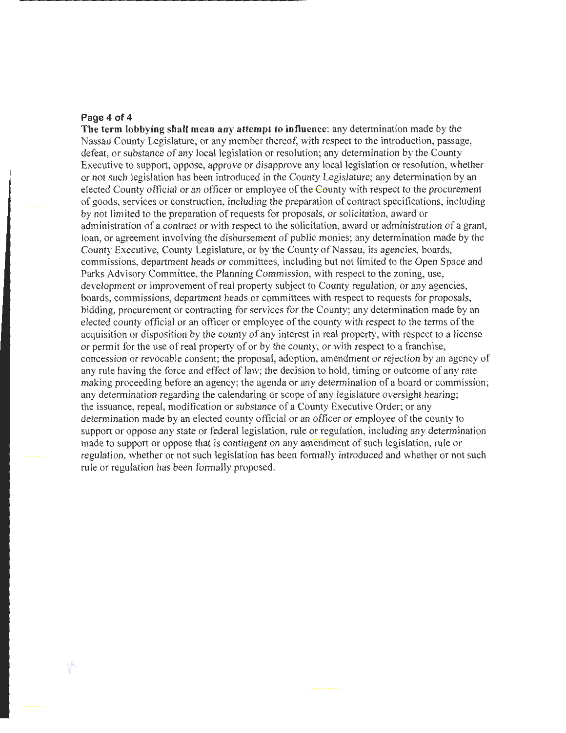#### **Page 4 of 4**

**The term lobbying shall mean any attempt to influence:** any determination made by the Nassau County Legislature, or any member thereof, with respect to the introduction, passage, defeat, or substance of any local legislation or resolution; any determination by the County Executive to support, oppose, approve or disapprove any local legislation or resolution, whether or not such legislation has been introduced in the County Legislature; any determination by an elected County official or an officer or employee of the County with respect to the procurement of goods, services or construction, including the preparation of contract specifications, including by not limited to the preparation of requests for proposals, or solicitation, award or administration of a contract or with respect to the solicitation, award or administration of a grant, loan, or agreement involving the disbursement of public monies; any determination made by the County Executive, County Legislature, or by the County of Nassau, its agencies, boards, commissions, department heads or committees, including but not limited to the Open Space and Parks Advisory Committee, the Planning Commission, with respect to the zoning, use, development or improvement of real property subject to County regulation, or any agencies, boards, commissions, department heads or committees with respect to requests for proposals, bidding, procurement or contracting for services for the County; any determination made by an elected county official or an officer or employee of the county with respect to the terms of the acquisition or disposition by the county of any interest in real property, with respect to a license or perm it for the use of real property of or by the county, or with respect to a franchise, concession or revocable consent; the proposal, adoption, amendment or rejection by an agency of any rule having the force and effect of law; the decision to hold, timing or outcome of any rate making proceeding before an agency; the agenda or any determination of a board or commission; any determination regarding the calendaring or scope of any legislature oversight hearing; the issuance, repeal, modification or substance of a County Executive Order; or any determination made by an elected county official or an officer or employee of the county to support or oppose any state or federal legislation, rule or regulation, including any determination made to support or oppose that is contingent on any amendment of such legislation, rule or regulation, whether or not such legislation has been formally introduced and whether or not such rule or regulation has been formally proposed.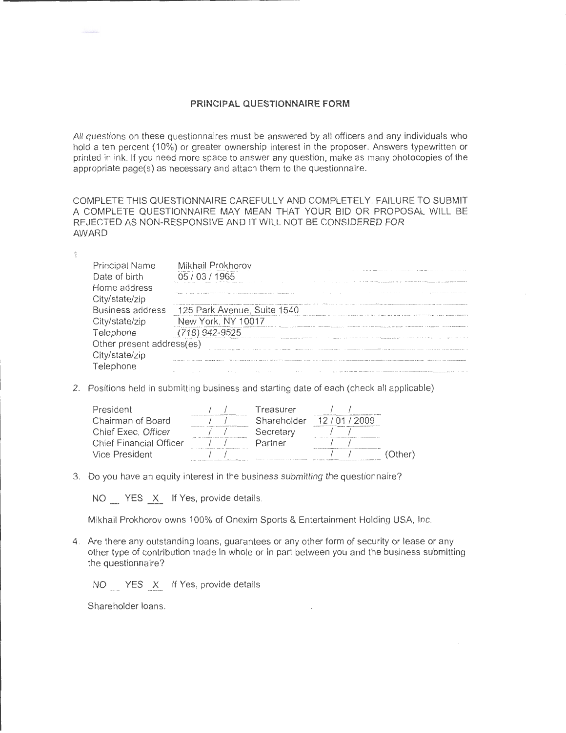#### **PRINCIPAL QUESTIONNAIRE FORM**

All questions on these questionnaires must be answered by all officers and any individuals who hold a ten percent (10%) or greater ownership interest in the proposer. Answers typewritten or printed in ink. If you need more space to answer any question, make as many photocopies of the appropriate page(s) as necessary and attach them to the questionnaire.

COMPLETE THIS QUESTIONNAIRE CAREFULLY AND COMPLETELY. FAILURE TO SUBMIT A COMPLETE QUESTIONNAIRE MAY MEAN THAT YOUR BID OR PROPOSAL WILL BE REJECTED AS NON-RESPONSIVE AND IT WILL NOT BE CONSIDERED FOR AWARD

| Principal Name<br>Date of birth | Mikhail Prokhorov<br>ገ5 / በ3 / 1965                                                                                                                                                                                            |
|---------------------------------|--------------------------------------------------------------------------------------------------------------------------------------------------------------------------------------------------------------------------------|
| Home address                    | .<br>a company of the company of the company of the company of                                                                                                                                                                 |
| City/state/zip                  | MOVIES IN THE CORNER AND ADDRESS TO THE THEFT OF A 1999 TO LAST A CORP. A 1999 TO LAST ASSESSMENT OF THE CONTENTION OF THE CONTENT OF THE CONTENT OF THE CONTENT OF THE CONTENT OF THE CONTENT OF THE CONTENT OF THE CONTENT O |
| <b>Business address</b>         | 125 Park Avenue, Suite 1540                                                                                                                                                                                                    |
| City/state/zip                  | New York, NY 10017<br>THE CONTINUITIES OF THE COMPANY ASSESSED AT A REPORT OF LANGUAGE AND ARRESTS OF MILIONS COMPANY AND A CONTINUES TO A REPORT OF THE COMPANY OF                                                            |
| Telephone                       | (718) 942-9525<br>THE R. P. LEWIS CO., LANSING, MICH. 49-14039-1-120-2 120-2 120-2 120-2 120-2 220-2<br>. For a function state of the second construction of the second state $\alpha$                                         |
| Other present address(es)       |                                                                                                                                                                                                                                |
| City/state/zip                  |                                                                                                                                                                                                                                |
| eiephone                        | 22 K 321 YO LAN A R R T THE THE CHARGE AND COMMON COMMUNISTIES OF THE REPORT OF THE PRESENT PERSON NAMED IN CONTRACTOR<br>the contract of the contract of the contract of                                                      |

2. Positions held in submitting business and starting date of each (check all applicable)

| President                      | the deal with the company that shall similar company is an anti-ball                                          | Treasurer                                            |                                                                                             |  |
|--------------------------------|---------------------------------------------------------------------------------------------------------------|------------------------------------------------------|---------------------------------------------------------------------------------------------|--|
| Chairman of Board              | with the first product and the second company of the second con-                                              | Shareholder                                          | 12 / 01 / 2009                                                                              |  |
| Chief Exec. Officer            | <b>CONTRACTOR INTERNATIONAL PROPERTY</b>                                                                      | Secretary                                            |                                                                                             |  |
| <b>Chief Financial Officer</b> |                                                                                                               | Partner                                              | the product of the property control to the control and the first product of control and the |  |
| Vice President                 | THE 19 BEEN EXPLORATION IN THE<br>The top particular that is considered to consider the problem of the Calif. | 2. F c mix political about 1 A P & C P PP 1 R PR LET |                                                                                             |  |

3. Do you have an equity interest in the business submitting the questionnaire?

NO YES X If Yes, provide details.

Mikhail Prokhorov owns 100% of Onexim Sports & Entertainment Holding USA, Inc.

4. Are there any outstanding loans, guarantees or any other form of security or lease or any other type of contribution made in whole or in part between you and the business submitting the questionnaire?

NO YES X If Yes, provide details.

Shareholder loans.

 $\mathbf{1}$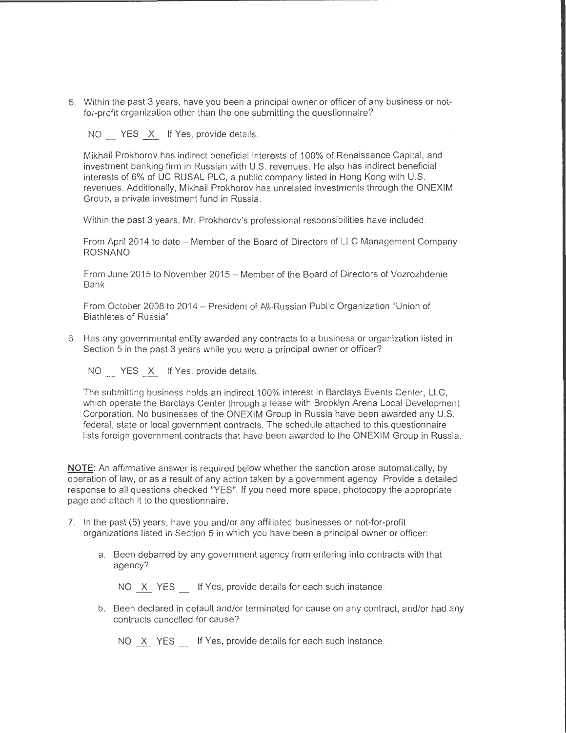5. Within the past 3 years, have you been a principal owner or officer of any business or notfor-profit organization other than the one submitting the questionnaire?

NO YES X If Yes, provide details.

----------------------------------------------------------------------- .

Mikhail Prokhorov has indirect beneficial interests of 100% of Renaissance Capital, and investment banking firm in Russian with U.S. revenues. He also has indirect beneficial interests of 6% of UC RUSAL PLC, a public company listed in Hong Kong with U.S. revenues . Additionally, Mikhail Prokhorov has unrelated investments through the ONEXIM Group, a private investment fund in Russia.

Within the past 3 years, Mr. Prokhorov's professional responsibilities have included:

From April 2014 to date - Member of the Board of Directors of LLC Management Company ROSNANO

From June 2015 to November 2015- Member of the Board of Directors of Vozrozhdenie Bank

From October 2008 to 2014 - President of All-Russian Public Organization "Union of Biathletes of Russia"

6. Has any governmental entity awarded any contracts to a business or organization listed in Section 5 in the past 3 years while you were a principal owner or officer?

NO YES X If Yes, provide details.

The submitting business holds an indirect 100% interest in Barclays Events Center, LLC, which operate the Barclays Center through a lease with Brooklyn Arena Local Development Corporation. No businesses of the ONEXIM Group in Russia have been awarded any U.S. federal, state or local government contracts. The schedule attached to this questionnaire lists foreign government contracts that have been awarded to the ONEXIM Group in Russia.

**NOTE:** An affirmative answer is required below whether the sanction arose automatically, by operation of law, or as a result of any action taken by a government agency. Provide a detailed response to all questions checked "YES". If you need more space, photocopy the appropriate page and attach it to the questionnaire.

- 7. In the past (5) years, have you and/or any affiliated businesses or not-for-profit organizations listed in Section 5 in which you have been a principal owner or officer:
	- a. Been debarred by any government agency from entering into contracts with that agency?

NO X YES If Yes, provide details for each such instance.

b. Been declared in default and/or terminated for cause on any contract, and/or had any contracts cancelled for cause?

NO X YES If Yes, provide details for each such instance.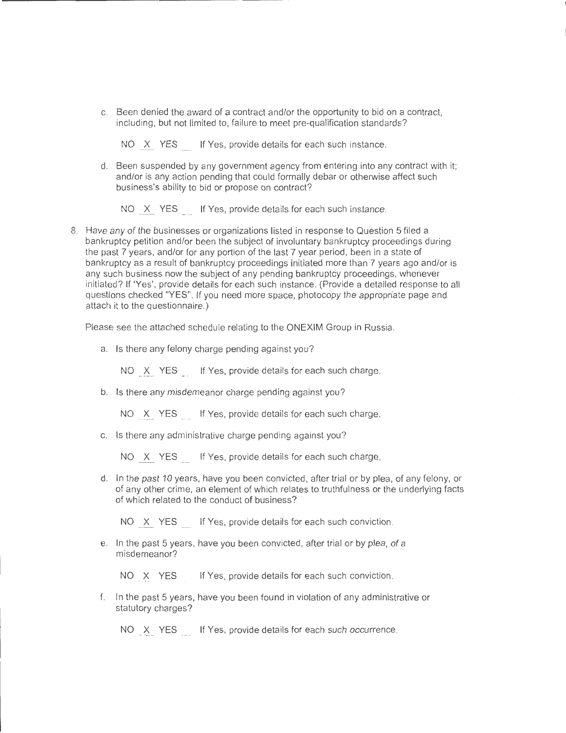c. Been denied the award of a contract and/or the opportunity to bid on a contract, including, but not limited to, failure to meet pre-qualification standards?

NO X YES If Yes, provide details for each such instance.

d. Been suspended by any government agency from entering into any contract with it; and/or is any action pending that could formally debar or otherwise affect such business's ability to bid or propose on contract?

NO X YES If Yes, provide details for each such instance

8. Have any of the businesses or organizations listed in response to Question 5 filed a bankruptcy petition and/or been the subject of involuntary bankruptcy proceedings during the past 7 years, and/or for any portion of the last 7 year period, been in a state of bankruptcy as a result of bankruptcy proceedings initiated more than 7 years ago and/or is any such business now the subject of any pending bankruptcy proceedings, whenever initiated? If 'Yes', provide details for each such instance. (Provide a detailed response to all questions checked "YES". If you need more space, photocopy the appropriate page and attach it to the questionnaire.)

Please see the attached schedule relating to the ONEXIM Group in Russia.

a. Is there any felony charge pending against you?

NO X YES If Yes, provide details for each such charge.

b. Is there any misdemeanor charge pending against you?

NO X YES If Yes, provide details for each such charge.

c. Is there any administrative charge pending against you?

NO X YES If Yes, provide details for each such charge.

d. In the past 10 years, have you been convicted, after trial or by plea, of any felony, or of any other crime, an element of which relates to truthfulness or the underlying facts of which related to the conduct of business?

NO X YES If Yes, provide details for each such conviction

e. In the past 5 years, have you been convicted, after trial or by plea, of a misdemeanor?

NO X YES If Yes, provide details for each such conviction.

f. In the past 5 years, have you been found in violation of any administrative or statutory charges?

NO X YES If Yes, provide details for each such occurrence.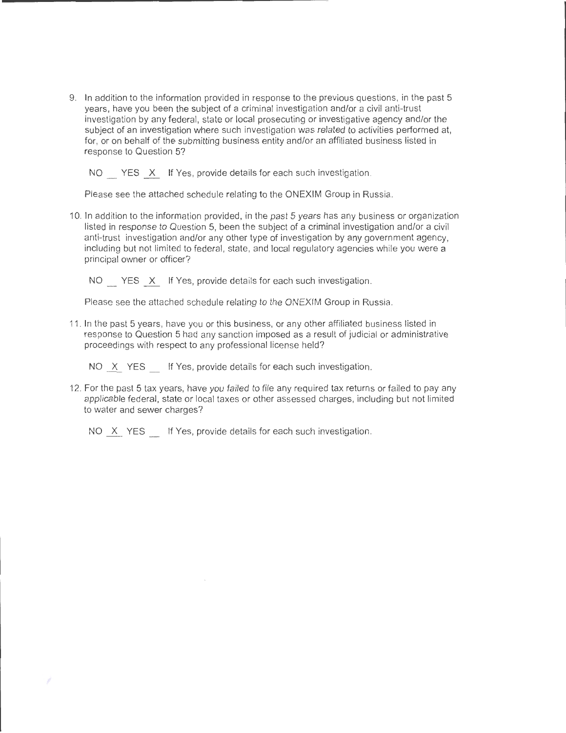9. In addition to the information provided in response to the previous questions, in the past 5 years, have you been the subject of a criminal investigation and/or a civil anti-trust investigation by any federal, state or local prosecuting or investigative agency and/or the subject of an investigation where such investigation was related to activities performed at, for, or on behalf of the submitting business entity and/or an affiliated business listed in response to Question 5?

NO YES X If Yes, provide details for each such investigation.

Please see the attached schedule relating to the ONEXIM Group in Russia.

10. In addition to the information provided, in the past 5 years has any business or organization listed in response to Question 5, been the subject of a criminal investigation and/or a civil anti-trust investigation and/or any other type of investigation by any government agency, including but not limited to federal, state, and local regulatory agencies while you were a principal owner or officer?

NO YES X If Yes, provide details for each such investigation.

Please see the attached schedule relating to the ONEXIM Group in Russia.

11. In the past 5 years, have you or this business, or any other affiliated business listed in response to Question 5 had any sanction imposed as a result of judicial or administrative proceedings with respect to any professional license held?

NO X YES If Yes, provide details for each such investigation.

12. For the past 5 tax years, have you failed to file any required tax returns or failed to pay any applicable federal, state or local taxes or other assessed charges, including but not limited to water and sewer charges?

NO X YES If Yes, provide details for each such investigation.

Þ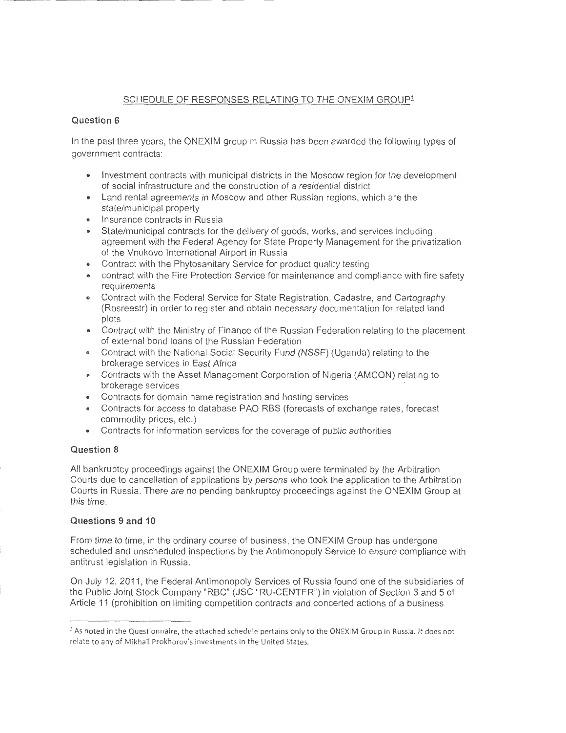### SCHEDULE OF RESPONSES RELATING TO THE ONEXIM GROUP<sup>1</sup>

#### **Question 6**

In the past three years, the ONEXIM group in Russia has been awarded the following types of government contracts:

- Investment contracts with municipal districts in the Moscow region for the development of social infrastructure and the construction of a residential district
- Land rental agreements in Moscow and other Russian regions, which are the state/municipal property
- Insurance contracts in Russia
- State/municipal contracts for the delivery of goods, works, and services including agreement with the Federal Agency for State Property Management for the privatization of the Vnukovo International Airport in Russia
- Contract with the Phytosanitary Service for product quality testing
- contract with the Fire Protection Service for maintenance and compliance with fire safety requirements
- Contract with the Federal Service for State Registration, Cadastre, and Cartography (Rosreestr) in order to register and obtain necessary documentation for related land plots
- Contract with the Ministry of Finance of the Russian Federation relating to the placement of external bond loans of the Russian Federation
- Contract with the National Social Security Fund (NSSF) (Uganda) relating to the brokerage services in East Africa
- Contracts with the Asset Management Corporation of Nigeria (AMCON) relating to brokerage services
- Contracts for domain name registration and hosting services
- Contracts for access to database PAO RBS (forecasts of exchange rates, forecast commodity prices, etc.)
- Contracts for information services for the coverage of public authorities

#### **Question 8**

All bankruptcy proceedings against the ONEXIM Group were terminated by the Arbitration Courts due to cancellation of applications by persons who took the application to the Arbitration Courts in Russia. There are no pending bankruptcy proceedings against the ONEXIM Group at this time.

#### **Questions 9 and 10**

From time to time, in the ordinary course of business, the ONEXIM Group has undergone scheduled and unscheduled inspections by the Antimonopoly Service to ensure compliance with antitrust legislation in Russia.

On July 12, 2011, the Federal Antimonopoly Services of Russia found one of the subsidiaries of the Public Joint Stock Company "RBC" (JSC "RU-CENTER") in violation of Section 3 and 5 of Article 11 (prohibition on limiting competition contracts and concerted actions of a business

<sup>&</sup>lt;sup>1</sup> As noted in the Questionnaire, the attached schedule pertains only to the ONEXIM Group in Russia. It does not relate to any of Mikhail Prokhorov's investments in the United States.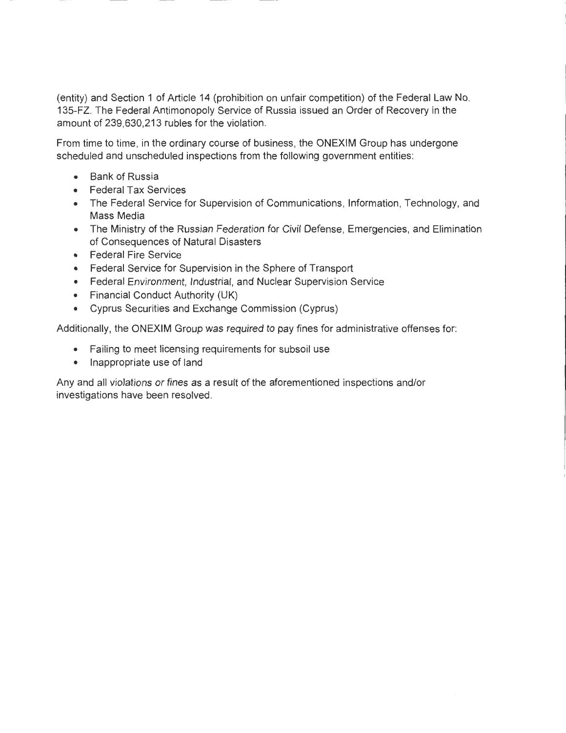(entity) and Section 1 of Article 14 (prohibition on unfair competition) of the Federal Law No. 135-FZ. The Federal Antimonopoly Service of Russia issued an Order of Recovery in the amount of 239,630,213 rubles for the violation.

From time to time, in the ordinary course of business, the ONEXIM Group has undergone scheduled and unscheduled inspections from the following government entities:

- Bank of Russia
- Federal Tax Services
- The Federal Service for Supervision of Communications, Information, Technology, and Mass Media
- The Ministry of the Russian Federation for Civil Defense, Emergencies, and Elimination of Consequences of Natural Disasters
- Federal Fire Service
- Federal Service for Supervision in the Sphere of Transport
- Federal Environment, Industrial, and Nuclear Supervision Service
- Financial Conduct Authority (UK)
- Cyprus Securities and Exchange Commission (Cyprus)

Additionally, the ONEXIM Group was required to pay fines for administrative offenses for:

- Failing to meet licensing requirements for subsoil use
- Inappropriate use of land

Any and all violations or fines as a result of the aforementioned inspections and/or investigations have been resolved.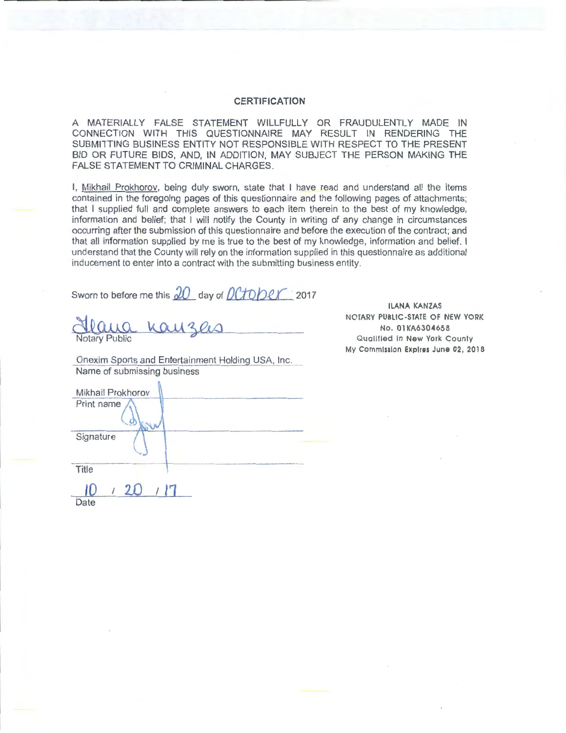#### **CERTIFICATION**

A MATERIALLY FALSE STATEMENT WILLFULLY OR FRAUDULENTLY MADE IN CONNECTION WITH THIS QUESTIONNAIRE MAY RESULT IN RENDERING THE SUBMITTING BUSINESS ENTITY NOT RESPONSIBLE WITH RESPECT TO THE PRESENT BID OR FUTURE BIDS, AND, IN ADDITION, MAY SUBJECT THE PERSON MAKING THE FALSE STATEMENT TO CRIMINAL CHARGES.

I, Mikhail Prokhorov, being duly sworn, state that I have read and understand all the items contained in the foregoing pages of this questionnaire and the following pages of attachments; that I supplied full and complete answers to each item therein to the best of my knowledge, information and belief; that I will notify the County in writing of any change in circumstances occurring after the submission of this questionnaire and before the execution of the contract; and that all information supplied by me is true to the best of my knowledge, information and belief. I understand that the County will rely on the information supplied in this questionnaire as additional inducement to enter into a contract with the submitting business entity.

Sworn to before me this  $\partial O$  day of  $\partial C$ *fOper* 2017

<u>Hearing</u> Kay 3 ers

Onexim Sports and Entertainment Holding USA, Inc. Name of submissing business

IlANA KANZAS NOTARY PUBLIC-STATE OF NEW YORK No. 01KA6304658 Qualified in New York County My Commission Expires June 02, 2018

| Mikhail Prokhorov |                                                                                                                |
|-------------------|----------------------------------------------------------------------------------------------------------------|
| Print name        |                                                                                                                |
| Signature         |                                                                                                                |
| Title             | the property of the company's series of the company's design and the series of the series of the series of the |
| 71                |                                                                                                                |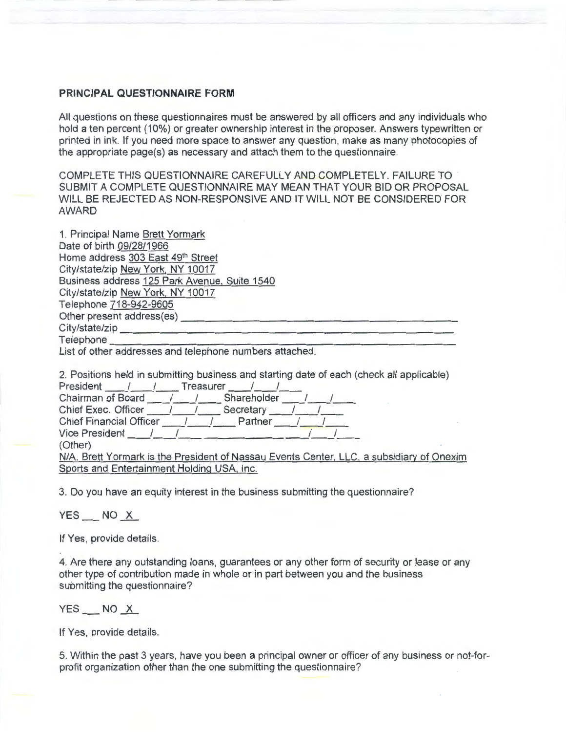### **PRINCIPAL QUESTIONNAIRE FORM**

All questions on these questionnaires must be answered by all officers and any individuals who hold a ten percent (10%) or greater ownership interest in the proposer. Answers typewritten or printed in ink. If you need more space to answer any question, make as many photocopies of the appropriate page(s) as necessary and attach them to the questionnaire.

COMPLETE THIS QUESTIONNAIRE CAREFULLY AND COMPLETELY. FAILURE TO SUBMIT A COMPLETE QUESTIONNAIRE MAY MEAN THAT YOUR BID OR PROPOSAL WILL BE REJECTED AS NON-RESPONSIVE AND IT WILL NOT BE CONSIDERED FOR AWARD

| 1. Principal Name Brett Yormark                         |
|---------------------------------------------------------|
| Date of birth 09/28/1966                                |
| Home address 303 East 49th Street                       |
| City/state/zip New York, NY 10017                       |
| Business address 125 Park Avenue, Suite 1540            |
| City/state/zip New York, NY 10017                       |
| Telephone 718-942-9605                                  |
| Other present address(es)                               |
| City/state/zip                                          |
| Telephone                                               |
| List of other addresses and telephone numbers attached. |

| 2. Positions held in submitting business and starting date of each (check all applicable) |
|-------------------------------------------------------------------------------------------|
| <b>Treasurer</b><br>President                                                             |
| Chairman of Board / /<br>Shareholder                                                      |
| Chief Exec. Officer / /<br>Secretary                                                      |
| <b>Chief Financial Officer</b><br>Partner                                                 |
| <b>Vice President</b>                                                                     |
| (Other)                                                                                   |
| N/A. Brett Yormark is the President of Nassau Events Center, LLC, a subsidiary of Onexim  |
| Sports and Entertainment Holding USA, Inc.                                                |

3. Do you have an equity interest in the business submitting the questionnaire?

YES \_\_ NO <u>X</u>

If Yes, provide details.

4. Are there any outstanding loans, guarantees or any other form of security or lease or any other type of contribution made in whole or in part between you and the business submitting the questionnaire?

#### $YES$  NO  $X$

If Yes, provide details.

5. Within the past 3 years, have you been a principal owner or officer of any business or not-forprofit organization other than the one submitting the questionnaire?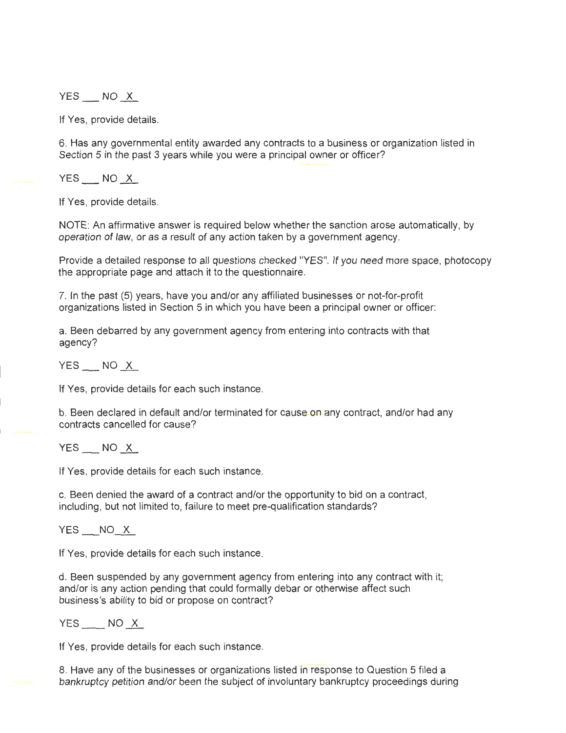$YES$   $NO X$ 

If Yes, provide details.

6. Has any governmental entity awarded any contracts to a business or organization listed in Section 5 in the past 3 years while you were a principal owner or officer?

 $YES$  NO  $X$ 

If Yes, provide details.

NOTE: An affirmative answer is required below whether the sanction arose automatically, by operation of law, or as a result of any action taken by a government agency.

Provide a detailed response to all questions checked "YES". If you need more space, photocopy the appropriate page and attach it to the questionnaire.

7. In the past (5) years, have you and/or any affiliated businesses or not-for-profit organizations listed in Section 5 in which you have been a principal owner or officer:

a. Been debarred by any government agency from entering into contracts with that agency?

 $YES$  NO  $X$ 

If Yes, provide details for each such instance.

b. Been declared in default and/or terminated for cause on any contract, and/or had any contracts cancelled for cause?

 $YES$   $NO X$ 

If Yes, provide details for each such instance.

c. Been denied the award of a contract and/or the opportunity to bid on a contract, including, but not limited to, failure to meet pre-qualification standards?

YES \_\_NO\_X

If Yes, provide details for each such instance.

d. Been suspended by any government agency from entering into any contract with it; and/or is any action pending that could formally debar or otherwise affect such business's ability to bid or propose on contract?

 $YES$  NO  $X$ 

If Yes, provide details for each such instance.

8. Have any of the businesses or organizations listed in response to Question 5 filed a bankruptcy petition and/or been the subject of involuntary bankruptcy proceedings during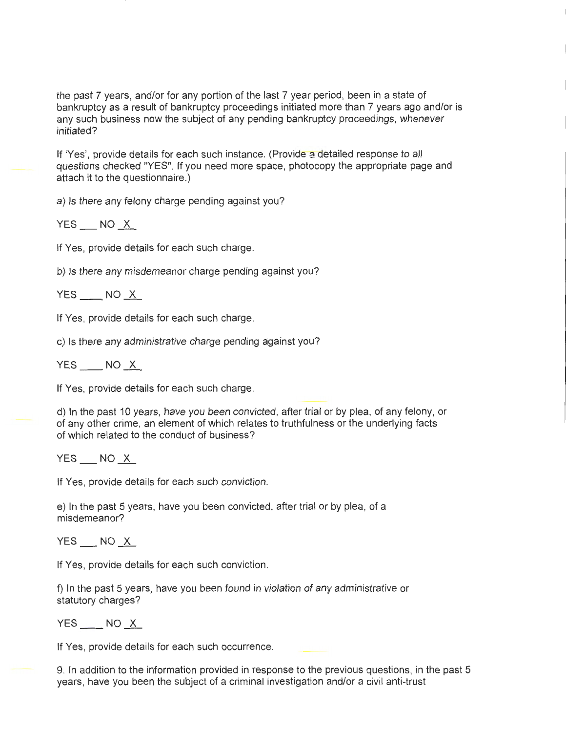the past 7 years, and/or for any portion of the last 7 year period, been in a state of bankruptcy as a result of bankruptcy proceedings initiated more than 7 years ago and/or is any such business now the subject of any pending bankruptcy proceedings, whenever initiated?

If 'Yes', provide details for each such instance. (Provide a detailed response to all questions checked "YES". If you need more space, photocopy the appropriate page and attach it to the questionnaire.)

a) Is there any felony charge pending against you?

 $YES$   $NO$   $X$ 

If Yes, provide details for each such charge.

b) Is there any misdemeanor charge pending against you?

 $YES$  NO  $X$ 

If Yes, provide details for each such charge.

c) Is there any administrative charge pending against you?

 $YES$  NO  $X$ 

If Yes, provide details for each such charge.

d) In the past 10 years, have you been convicted, after trial or by plea, of any felony, or of any other crime, an element of which relates to truthfulness or the underlying facts · of which related to the conduct of business?

YES NO X

If Yes, provide details for each such conviction.

e) In the past 5 years, have you been convicted, after trial or by plea, of a misdemeanor?

YES NO X

If Yes, provide details for each such conviction.

f) In the past 5 years, have you been found in violation of any administrative or statutory charges?

 $YES$  NO  $X$ 

If Yes, provide details for each such occurrence.

9. In addition to the information provided in response to the previous questions, in the past 5 years, have you been the subject of a criminal investigation and/or a civil anti-trust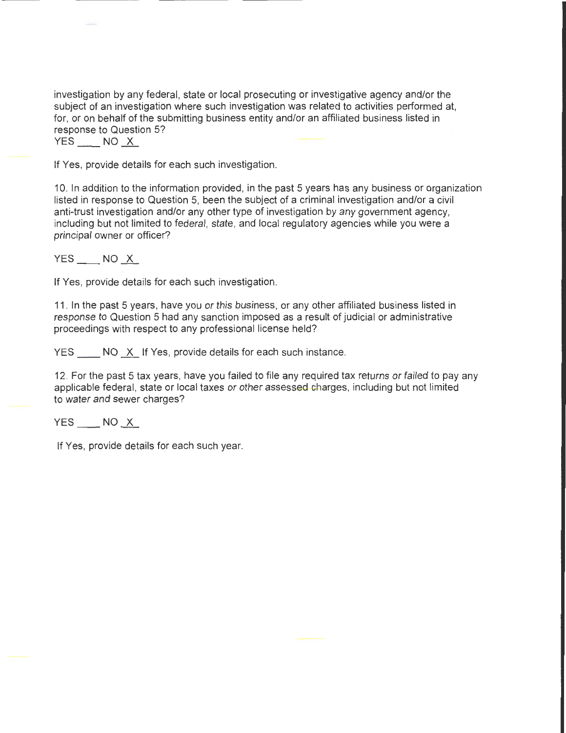investigation by any federal, state or local prosecuting or investigative agency and/or the subject of an investigation where such investigation was related to activities performed at, for, or on behalf of the submitting business entity and/or an affiliated business listed in response to Question 5?

 $YES$  NO  $X$ 

If Yes, provide details for each such investigation.

10. In addition to the information provided, in the past 5 years has any business or organization listed in response to Question 5, been the subject of a criminal investigation and/or a civil anti-trust investigation and/or any other type of investigation by any government agency, including but not limited to federal, state, and local regulatory agencies while you were a principal owner or officer?

 $YES$  NO  $X$ 

If Yes, provide details for each such investigation.

11. In the past 5 years, have you or this business, or any other affiliated business listed in response to Question 5 had any sanction imposed as a result of judicial or administrative proceedings with respect to any professional license held?

YES NO X If Yes, provide details for each such instance.

12. For the past 5 tax years, have you failed to file any required tax returns or failed to pay any applicable federal, state or local taxes or other assessed charges, including but not limited to water and sewer charges?

 $YES$  NO  $X$ 

If Yes, provide details for each such year.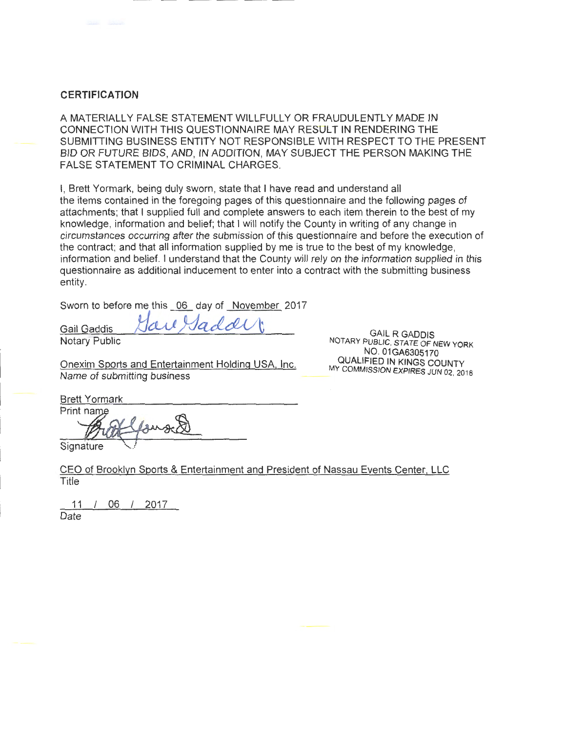### **CERTIFICATION**

A MATERIALLY FALSE STATEMENT WILLFULLY OR FRAUDULENTLY MADE IN CONNECTION WITH THIS QUESTIONNAIRE MAY RESULT IN RENDERING THE SUBMITTING BUSINESS ENTITY NOT RESPONSIBLE WITH RESPECT TO THE PRESENT BID OR FUTURE BIDS, AND, IN ADDITION, MAY SUBJECT THE PERSON MAKING THE FALSE STATEMENT TO CRIMINAL CHARGES.

I, Brett Yormark, being duly sworn, state that I have read and understand all the items contained in the foregoing pages of this questionnaire and the following pages of attachments; that I supplied full and complete answers to each item therein to the best of my knowledge, information and belief; that I will notify the County in writing of any change in circumstances occurring after the submission of this questionnaire and before the execution of the contract; and that all information supplied by me is true to the best of my knowledge, information and belief. I understand that the County will rely on the information supplied in this questionnaire as additional inducement to enter into a contract with the submitting business entity.

Sworn to before me this <u>06</u> day of <u>November</u> 2017<br>Gail Gaddis *\* <i>Jctul JaddU* 

Notary Public

Onexim Sports and Entertainment Holding USA, Inc. Name of submitting business

GAIL R GADDIS NOTARY PUBLIC, STATE OF NEW YORK NO. 01GA6305170 QUALIFIED IN KINGS COUNTY MY COMMISSION EXPIRES JUN 02, 2018

Brett Yormark

Prin Exacted the California Control of the California Control of the California Control of the California Control of the California Control of the California Control of the California Control of the California Control of the Ca

**Signature** 

CEO of Brooklyn Sports & Entertainment and President of Nassau Events Center, LLC Title

11 I 06 I 2017 Date